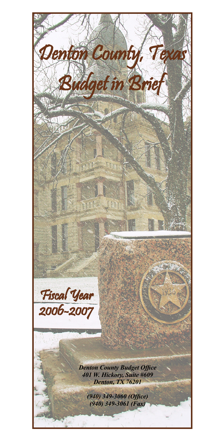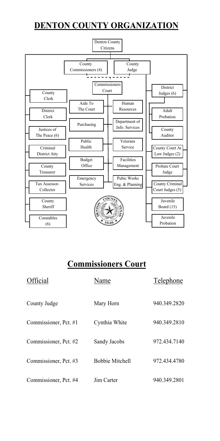# **DENTON COUNTY ORGANIZATION**



# **Commissioners Court**

| Official              | Name                   | Telephone    |
|-----------------------|------------------------|--------------|
| County Judge          | Mary Horn              | 940.349.2820 |
| Commissioner, Pct. #1 | Cynthia White          | 940.349.2810 |
| Commissioner, Pct. #2 | Sandy Jacobs           | 972.434.7140 |
| Commissioner, Pct. #3 | <b>Bobbie Mitchell</b> | 972.434.4780 |
| Commissioner, Pct. #4 | Jim Carter             | 940.349.2801 |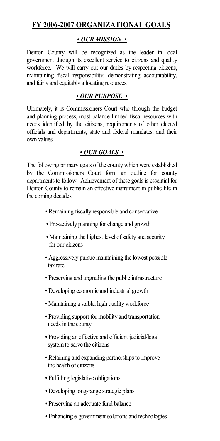### **FY 2006-2007 ORGANIZATIONAL GOALS**

#### *• OUR MISSION •*

Denton County will be recognized as the leader in local government through its excellent service to citizens and quality workforce. We will carry out our duties by respecting citizens, maintaining fiscal responsibility, demonstrating accountability, and fairly and equitably allocating resources.

#### *• OUR PURPOSE •*

Ultimately, it is Commissioners Court who through the budget and planning process, must balance limited fiscal resources with needs identified by the citizens, requirements of other elected officials and departments, state and federal mandates, and their own values.

#### *• OUR GOALS •*

The following primary goals of the county which were established by the Commissioners Court form an outline for county departments to follow. Achievement of these goals is essential for Denton County to remain an effective instrument in public life in the coming decades.

- *•* Remaining fiscally responsible and conservative
- Pro-actively planning for change and growth
- Maintaining the highest level of safety and security for our citizens
- Aggressively pursue maintaining the lowest possible tax rate
- Preserving and upgrading the public infrastructure
- Developing economic and industrial growth
- Maintaining a stable, high quality workforce
- Providing support for mobility and transportation needs in the county
- Providing an effective and efficient judicial/legal system to serve the citizens
- Retaining and expanding partnerships to improve the health of citizens
- Fulfilling legislative obligations
- *•* Developing long-range strategic plans
- *•* Preserving an adequate fund balance
- *•* Enhancing e-government solutions and technologies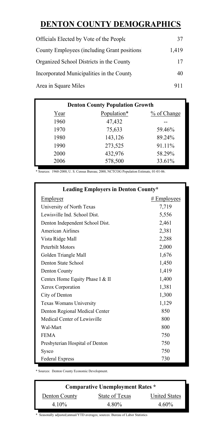### **DENTON COUNTY DEMOGRAPHICS**

| Officials Elected by Vote of the People      | 37    |
|----------------------------------------------|-------|
| County Employees (including Grant positions) | 1.419 |
| Organized School Districts in the County     | 17    |
| Incorporated Municipalities in the County    | 40    |
| Area in Square Miles                         | 911   |

| <b>Denton County Population Growth</b> |             |             |  |  |
|----------------------------------------|-------------|-------------|--|--|
| Year                                   | Population* | % of Change |  |  |
| 1960                                   | 47,432      |             |  |  |
| 1970                                   | 75,633      | 59.46%      |  |  |
| 1980                                   | 143,126     | 89.24%      |  |  |
| 1990                                   | 273,525     | 91.11%      |  |  |
| 2000                                   | 432,976     | 58.29%      |  |  |
| 2006                                   | 578,500     | 33.61%      |  |  |

\* Sources: 1960-2000, U. S. Census Bureau; 2000, NCTCOG Population Estimate, 01-01-06.

| <b>Leading Employers in Denton County*</b> |               |  |  |
|--------------------------------------------|---------------|--|--|
| Employer                                   | $#$ Employees |  |  |
| University of North Texas                  | 7,719         |  |  |
| Lewisville Ind. School Dist.               | 5,556         |  |  |
| Denton Independent School Dist.            | 2,461         |  |  |
| American Airlines                          | 2,381         |  |  |
| Vista Ridge Mall                           | 2,288         |  |  |
| Peterbilt Motors                           | 2,000         |  |  |
| Golden Triangle Mall                       | 1,676         |  |  |
| Denton State School                        | 1,450         |  |  |
| Denton County                              | 1,419         |  |  |
| Centex Home Equity Phase I & II            | 1,400         |  |  |
| Xerox Corporation                          | 1,381         |  |  |
| City of Denton                             | 1,300         |  |  |
| Texas Womans University                    | 1,129         |  |  |
| Denton Regional Medical Center             | 850           |  |  |
| Medical Center of Lewisville               | 800           |  |  |
| Wal-Mart                                   | 800           |  |  |
| <b>FEMA</b>                                | 750           |  |  |
| Presbyterian Hospital of Denton            | 750           |  |  |
| Sysco                                      | 750           |  |  |
| <b>Federal Express</b>                     | 730           |  |  |

\* Sources: Denton County Economic Development.

| State of Texas | <b>United States</b> |
|----------------|----------------------|
| 4.80%          | $4.60\%$             |
|                |                      |

\* Seasonally adjusted;annual/YTD averages; sources: Bureau of Labor Statistics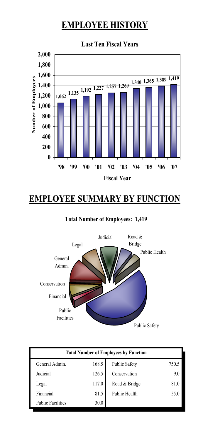# **EMPLOYEE HISTORY**



# **EMPLOYEE SUMMARY BY FUNCTION**

#### **Total Number of Employees: 1,419**



| <b>Total Number of Employees by Function</b> |       |                      |       |  |
|----------------------------------------------|-------|----------------------|-------|--|
| General Admin.                               | 168.5 | <b>Public Safety</b> | 750.5 |  |
| Judicial                                     | 126.5 | Conservation         | 9.0   |  |
| Legal                                        | 117.0 | Road & Bridge        | 81.0  |  |
| Financial                                    | 81.5  | Public Health        | 55.0  |  |
| <b>Public Facilities</b>                     | 30.0  |                      |       |  |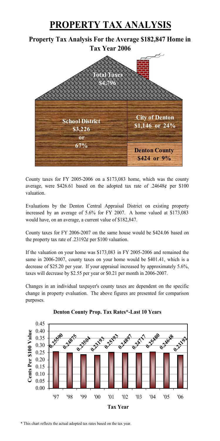### **PROPERTY TAX ANALYSIS**

#### **Property Tax Analysis For the Average \$182,847 Home in Tax Year 2006**



County taxes for FY 2005-2006 on a \$173,083 home, which was the county average, were \$426.61 based on the adopted tax rate of .24648¢ per \$100 valuation.

Evaluations by the Denton Central Appraisal District on existing property increased by an average of 5.6% for FY 2007. A home valued at \$173,083 would have, on an average, a current value of \$182,847.

County taxes for FY 2006-2007 on the same house would be \$424.06 based on the property tax rate of .23192 $\ell$  per \$100 valuation.

If the valuation on your home was \$173,083 in FY 2005-2006 and remained the same in 2006-2007, county taxes on your home would be \$401.41, which is a decrease of \$25.20 per year. If your appraisal increased by approximately 5.6%, taxes will decrease by \$2.55 per year or \$0.21 per month in 2006-2007.

Changes in an individual taxpayer's county taxes are dependent on the specific change in property evaluation. The above figures are presented for comparison purposes.





\* This chart reflects the actual adopted tax rates based on the tax year.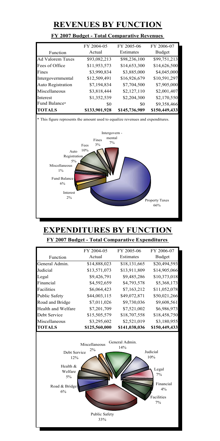### **REVENUES BY FUNCTION**

|                         | FY 2004-05    | FY 2005-06    | FY 2006-07    |
|-------------------------|---------------|---------------|---------------|
| Function                | Actual        | Estimates     | <b>Budget</b> |
| <b>Ad Valorem Taxes</b> | \$93,082,213  | \$98,236,100  | \$99,751,213  |
| Fees of Office          | \$11,953,573  | \$14,653,300  | \$14,626,500  |
| Fines                   | \$3,990,834   | \$3,885,000   | \$4,045,000   |
| Intergovernmental       | \$12,509,491  | \$16,926,679  | \$10,591,297  |
| Auto Registration       | \$7,194,834   | \$7,704,500   | \$7,905,000   |
| Miscellaneous           | \$3,818,444   | \$2,127,110   | \$2,001,407   |
| Interest                | \$1,352,539   | \$2,204,300   | \$2,170,550   |
| Fund Balance*           | \$0           | \$0           | \$9,358,466   |
| <b>TOTALS</b>           | \$133,901,928 | \$145,736,989 | \$150,449,433 |

#### **FY 2007 Budget - Total Comparative Revenues**



### **EXPENDITURES BY FUNCTION FY 2007 Budget - Total Comparative Expenditures**

|                                                                                        | FY 2004-05    | FY 2005-06    | FY 2006-07    |  |
|----------------------------------------------------------------------------------------|---------------|---------------|---------------|--|
| Function                                                                               | Actual        | Estimates     | <b>Budget</b> |  |
| General Admin.                                                                         | \$14,888,023  | \$18,131,665  | \$20,494,593  |  |
| Judicial                                                                               | \$13,571,073  | \$13,911,809  | \$14,905,066  |  |
| Legal                                                                                  | \$9,426,791   | \$9,485,286   | \$10,373,018  |  |
| Financial                                                                              | \$4,592,659   | \$4,793,578   | \$5,368,173   |  |
| Facilities                                                                             | \$6,064,423   | \$7,163,212   | \$11,052,078  |  |
| <b>Public Safety</b>                                                                   | \$44,003,115  | \$49,072,871  | \$50,021,266  |  |
| Road and Bridge                                                                        | \$7,011,026   | \$9,730,036   | \$9,608,561   |  |
| Health and Welfare                                                                     | \$7,201,709   | \$7,521,002   | \$6,986,973   |  |
| Debt Service                                                                           | \$15,505,579  | \$18,707,558  | \$18,458,750  |  |
| Miscellaneous                                                                          | \$3,295,602   | \$2,521,019   | \$3,180,955   |  |
| <b>TOTALS</b>                                                                          | \$125,560,000 | \$141,038,036 | \$150,449,433 |  |
| General Admin.<br>Miscellaneous<br>14%<br>2%<br>Judicial<br>Debt Service<br>10%<br>12% |               |               |               |  |